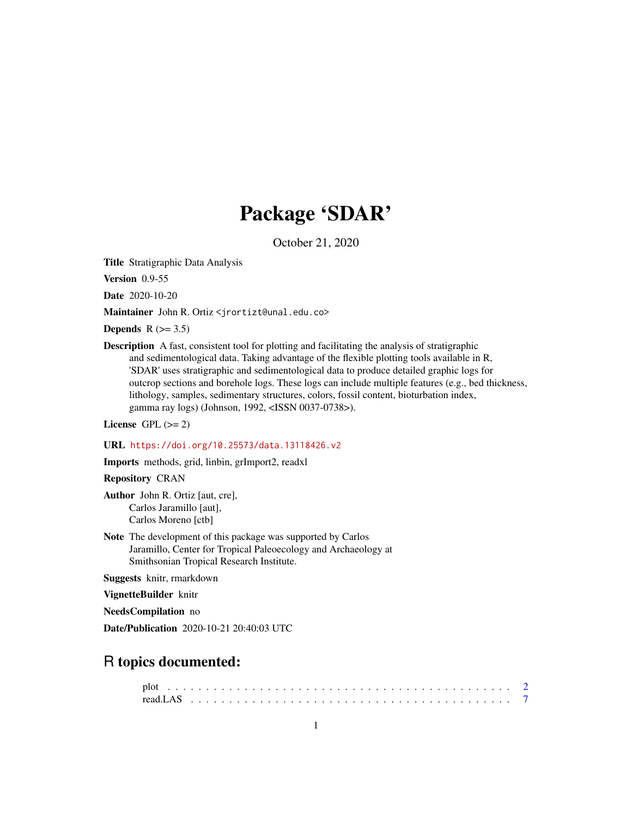## Package 'SDAR'

October 21, 2020

<span id="page-0-0"></span>Title Stratigraphic Data Analysis

Version 0.9-55

Date 2020-10-20

Maintainer John R. Ortiz <jrortizt@unal.edu.co>

Depends  $R$  ( $>= 3.5$ )

Description A fast, consistent tool for plotting and facilitating the analysis of stratigraphic and sedimentological data. Taking advantage of the flexible plotting tools available in R, 'SDAR' uses stratigraphic and sedimentological data to produce detailed graphic logs for outcrop sections and borehole logs. These logs can include multiple features (e.g., bed thickness, lithology, samples, sedimentary structures, colors, fossil content, bioturbation index, gamma ray logs) (Johnson, 1992, <ISSN 0037-0738>).

License GPL  $(>= 2)$ 

URL <https://doi.org/10.25573/data.13118426.v2>

Imports methods, grid, linbin, grImport2, readxl

Repository CRAN

Author John R. Ortiz [aut, cre], Carlos Jaramillo [aut], Carlos Moreno [ctb]

Note The development of this package was supported by Carlos Jaramillo, Center for Tropical Paleoecology and Archaeology at Smithsonian Tropical Research Institute.

Suggests knitr, rmarkdown

VignetteBuilder knitr

NeedsCompilation no

Date/Publication 2020-10-21 20:40:03 UTC

### R topics documented: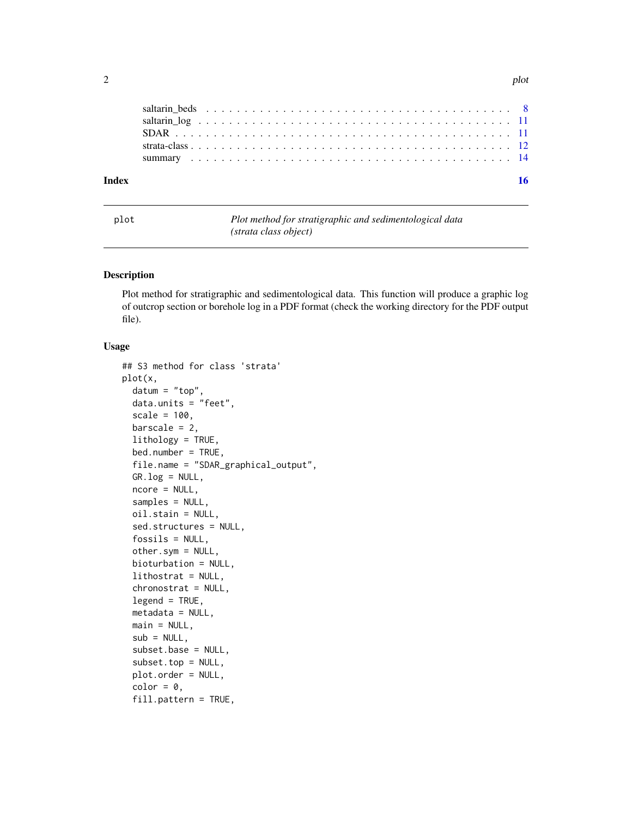<span id="page-1-0"></span>

| Index |  |  |  |  |  |  |  |  |  |  |  |  |  |  |  |  |  |  |  |  |
|-------|--|--|--|--|--|--|--|--|--|--|--|--|--|--|--|--|--|--|--|--|
|       |  |  |  |  |  |  |  |  |  |  |  |  |  |  |  |  |  |  |  |  |
|       |  |  |  |  |  |  |  |  |  |  |  |  |  |  |  |  |  |  |  |  |
|       |  |  |  |  |  |  |  |  |  |  |  |  |  |  |  |  |  |  |  |  |
|       |  |  |  |  |  |  |  |  |  |  |  |  |  |  |  |  |  |  |  |  |
|       |  |  |  |  |  |  |  |  |  |  |  |  |  |  |  |  |  |  |  |  |

plot *Plot method for stratigraphic and sedimentological data (strata class object)*

#### Description

Plot method for stratigraphic and sedimentological data. This function will produce a graphic log of outcrop section or borehole log in a PDF format (check the working directory for the PDF output file).

#### Usage

```
## S3 method for class 'strata'
plot(x,
  datum = "top",
  data.units = "feet",
  scale = 100,
 barscale = 2,
  lithology = TRUE,
  bed.number = TRUE,
  file.name = "SDAR_graphical_output",
  GR.log = NULL,
 ncore = NULL,
  samples = NULL,
  oil.stain = NULL,
  sed.structures = NULL,
  fossils = NULL,
  other.sym = NULL,
 bioturbation = NULL,
  lithostrat = NULL,
  chronostrat = NULL,
  legend = TRUE,metadata = NULL,
 main = NULL,
  sub = NULL,
  subset.base = NULL,
  subset.top = NULL,
 plot.order = NULL,
  color = 0,fill.pattern = TRUE,
```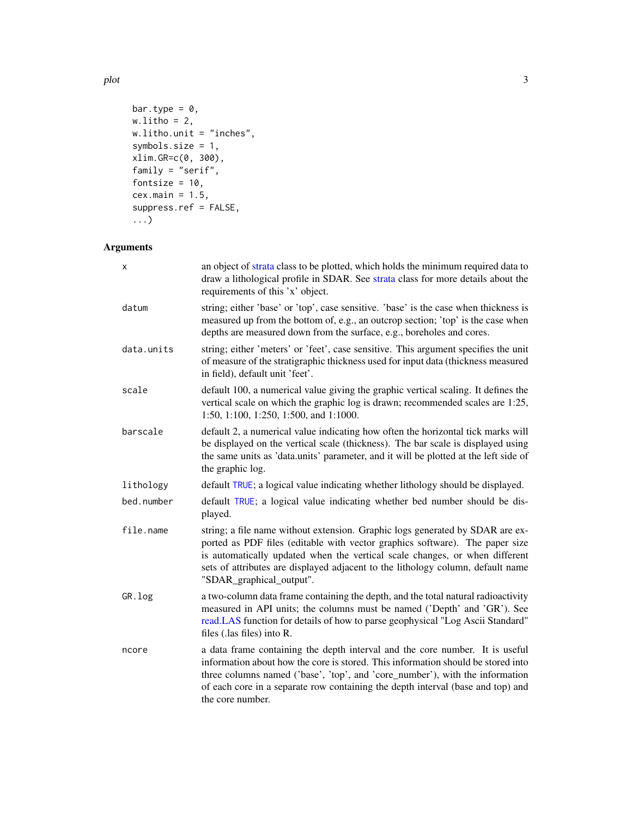```
bar.type = 0,
w.litho = 2,w.litho.unit = "inches",
symbols.size = 1,
xlim.GR=c(0, 300),
family = "serif",
fontsize = 10,
cex.main = 1.5,suppress.ref = FALSE,
...)
```
#### Arguments

| x          | an object of strata class to be plotted, which holds the minimum required data to<br>draw a lithological profile in SDAR. See strata class for more details about the<br>requirements of this 'x' object.                                                                                                                                                   |
|------------|-------------------------------------------------------------------------------------------------------------------------------------------------------------------------------------------------------------------------------------------------------------------------------------------------------------------------------------------------------------|
| datum      | string; either 'base' or 'top', case sensitive. 'base' is the case when thickness is<br>measured up from the bottom of, e.g., an outcrop section; 'top' is the case when<br>depths are measured down from the surface, e.g., boreholes and cores.                                                                                                           |
| data.units | string; either 'meters' or 'feet', case sensitive. This argument specifies the unit<br>of measure of the stratigraphic thickness used for input data (thickness measured<br>in field), default unit 'feet'.                                                                                                                                                 |
| scale      | default 100, a numerical value giving the graphic vertical scaling. It defines the<br>vertical scale on which the graphic log is drawn; recommended scales are 1:25,<br>1:50, 1:100, 1:250, 1:500, and 1:1000.                                                                                                                                              |
| barscale   | default 2, a numerical value indicating how often the horizontal tick marks will<br>be displayed on the vertical scale (thickness). The bar scale is displayed using<br>the same units as 'data.units' parameter, and it will be plotted at the left side of<br>the graphic log.                                                                            |
| lithology  | default TRUE; a logical value indicating whether lithology should be displayed.                                                                                                                                                                                                                                                                             |
| bed.number | default TRUE; a logical value indicating whether bed number should be dis-<br>played.                                                                                                                                                                                                                                                                       |
| file.name  | string; a file name without extension. Graphic logs generated by SDAR are ex-<br>ported as PDF files (editable with vector graphics software). The paper size<br>is automatically updated when the vertical scale changes, or when different<br>sets of attributes are displayed adjacent to the lithology column, default name<br>"SDAR_graphical_output". |
| GR.log     | a two-column data frame containing the depth, and the total natural radioactivity<br>measured in API units; the columns must be named ('Depth' and 'GR'). See<br>read.LAS function for details of how to parse geophysical "Log Ascii Standard"<br>files (.las files) into R.                                                                               |
| ncore      | a data frame containing the depth interval and the core number. It is useful<br>information about how the core is stored. This information should be stored into<br>three columns named ('base', 'top', and 'core_number'), with the information<br>of each core in a separate row containing the depth interval (base and top) and<br>the core number.     |

<span id="page-2-0"></span>plot 3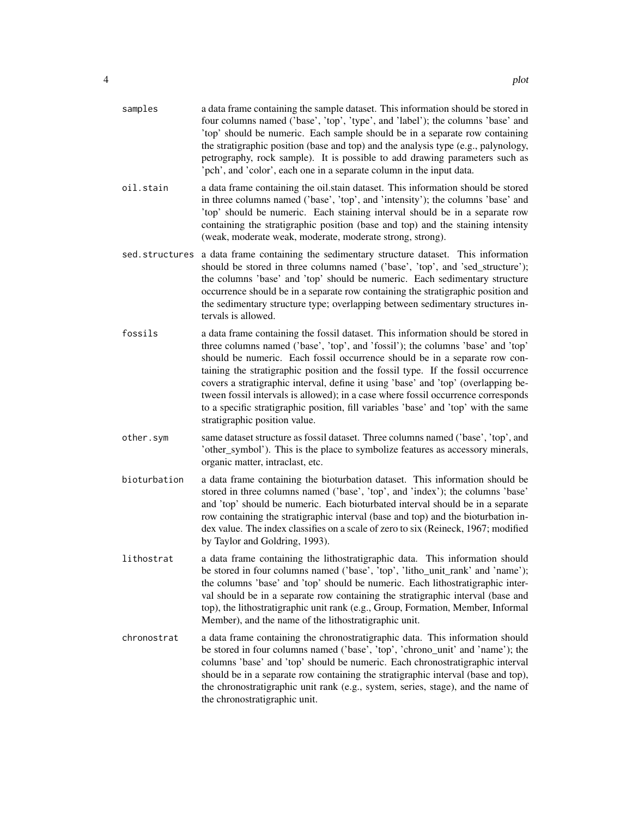| samples        | a data frame containing the sample dataset. This information should be stored in<br>four columns named ('base', 'top', 'type', and 'label'); the columns 'base' and<br>'top' should be numeric. Each sample should be in a separate row containing<br>the stratigraphic position (base and top) and the analysis type (e.g., palynology,<br>petrography, rock sample). It is possible to add drawing parameters such as<br>'pch', and 'color', each one in a separate column in the input data.                                                                                                                                          |
|----------------|------------------------------------------------------------------------------------------------------------------------------------------------------------------------------------------------------------------------------------------------------------------------------------------------------------------------------------------------------------------------------------------------------------------------------------------------------------------------------------------------------------------------------------------------------------------------------------------------------------------------------------------|
| oil.stain      | a data frame containing the oil stain dataset. This information should be stored<br>in three columns named ('base', 'top', and 'intensity'); the columns 'base' and<br>'top' should be numeric. Each staining interval should be in a separate row<br>containing the stratigraphic position (base and top) and the staining intensity<br>(weak, moderate weak, moderate, moderate strong, strong).                                                                                                                                                                                                                                       |
| sed.structures | a data frame containing the sedimentary structure dataset. This information<br>should be stored in three columns named ('base', 'top', and 'sed_structure');<br>the columns 'base' and 'top' should be numeric. Each sedimentary structure<br>occurrence should be in a separate row containing the stratigraphic position and<br>the sedimentary structure type; overlapping between sedimentary structures in-<br>tervals is allowed.                                                                                                                                                                                                  |
| fossils        | a data frame containing the fossil dataset. This information should be stored in<br>three columns named ('base', 'top', and 'fossil'); the columns 'base' and 'top'<br>should be numeric. Each fossil occurrence should be in a separate row con-<br>taining the stratigraphic position and the fossil type. If the fossil occurrence<br>covers a stratigraphic interval, define it using 'base' and 'top' (overlapping be-<br>tween fossil intervals is allowed); in a case where fossil occurrence corresponds<br>to a specific stratigraphic position, fill variables 'base' and 'top' with the same<br>stratigraphic position value. |
| other.sym      | same dataset structure as fossil dataset. Three columns named ('base', 'top', and<br>'other_symbol'). This is the place to symbolize features as accessory minerals,<br>organic matter, intraclast, etc.                                                                                                                                                                                                                                                                                                                                                                                                                                 |
| bioturbation   | a data frame containing the bioturbation dataset. This information should be<br>stored in three columns named ('base', 'top', and 'index'); the columns 'base'<br>and 'top' should be numeric. Each bioturbated interval should be in a separate<br>row containing the stratigraphic interval (base and top) and the bioturbation in-<br>dex value. The index classifies on a scale of zero to six (Reineck, 1967; modified<br>by Taylor and Goldring, 1993).                                                                                                                                                                            |
| lithostrat     | a data frame containing the lithostratigraphic data. This information should<br>be stored in four columns named ('base', 'top', 'litho_unit_rank' and 'name');<br>the columns 'base' and 'top' should be numeric. Each lithostratigraphic inter-<br>val should be in a separate row containing the stratigraphic interval (base and<br>top), the lithostratigraphic unit rank (e.g., Group, Formation, Member, Informal<br>Member), and the name of the lithostratigraphic unit.                                                                                                                                                         |
| chronostrat    | a data frame containing the chronostratigraphic data. This information should<br>be stored in four columns named ('base', 'top', 'chrono_unit' and 'name'); the<br>columns 'base' and 'top' should be numeric. Each chronostratigraphic interval<br>should be in a separate row containing the stratigraphic interval (base and top),<br>the chronostratigraphic unit rank (e.g., system, series, stage), and the name of<br>the chronostratigraphic unit.                                                                                                                                                                               |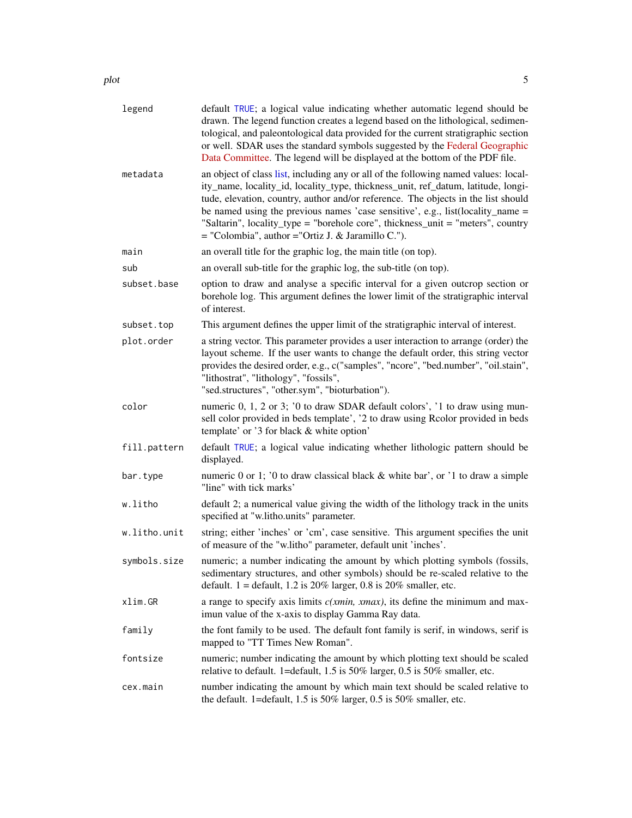<span id="page-4-0"></span>plot 5

| legend       | default TRUE; a logical value indicating whether automatic legend should be<br>drawn. The legend function creates a legend based on the lithological, sedimen-<br>tological, and paleontological data provided for the current stratigraphic section<br>or well. SDAR uses the standard symbols suggested by the Federal Geographic<br>Data Committee. The legend will be displayed at the bottom of the PDF file.                                                                             |
|--------------|------------------------------------------------------------------------------------------------------------------------------------------------------------------------------------------------------------------------------------------------------------------------------------------------------------------------------------------------------------------------------------------------------------------------------------------------------------------------------------------------|
| metadata     | an object of class list, including any or all of the following named values: local-<br>ity_name, locality_id, locality_type, thickness_unit, ref_datum, latitude, longi-<br>tude, elevation, country, author and/or reference. The objects in the list should<br>be named using the previous names 'case sensitive', e.g., $list(locality_name =$<br>"Saltarin", locality_type = "borehole core", thickness_unit = "meters", country<br>$=$ "Colombia", author $=$ "Ortiz J. & Jaramillo C."). |
| main         | an overall title for the graphic log, the main title (on top).                                                                                                                                                                                                                                                                                                                                                                                                                                 |
| sub          | an overall sub-title for the graphic log, the sub-title (on top).                                                                                                                                                                                                                                                                                                                                                                                                                              |
| subset.base  | option to draw and analyse a specific interval for a given outcrop section or<br>borehole log. This argument defines the lower limit of the stratigraphic interval<br>of interest.                                                                                                                                                                                                                                                                                                             |
| subset.top   | This argument defines the upper limit of the stratigraphic interval of interest.                                                                                                                                                                                                                                                                                                                                                                                                               |
| plot.order   | a string vector. This parameter provides a user interaction to arrange (order) the<br>layout scheme. If the user wants to change the default order, this string vector<br>provides the desired order, e.g., c("samples", "ncore", "bed.number", "oil.stain",<br>"lithostrat", "lithology", "fossils",<br>"sed.structures", "other.sym", "bioturbation").                                                                                                                                       |
| color        | numeric 0, 1, 2 or 3; '0 to draw SDAR default colors', '1 to draw using mun-<br>sell color provided in beds template', '2 to draw using Rcolor provided in beds<br>template' or '3 for black & white option'                                                                                                                                                                                                                                                                                   |
| fill.pattern | default TRUE; a logical value indicating whether lithologic pattern should be<br>displayed.                                                                                                                                                                                                                                                                                                                                                                                                    |
| bar.type     | numeric 0 or 1; '0 to draw classical black & white bar', or '1 to draw a simple<br>"line" with tick marks'                                                                                                                                                                                                                                                                                                                                                                                     |
| w.litho      | default 2; a numerical value giving the width of the lithology track in the units<br>specified at "w.litho.units" parameter.                                                                                                                                                                                                                                                                                                                                                                   |
| w.litho.unit | string; either 'inches' or 'cm', case sensitive. This argument specifies the unit<br>of measure of the "w.litho" parameter, default unit 'inches'.                                                                                                                                                                                                                                                                                                                                             |
| symbols.size | numeric; a number indicating the amount by which plotting symbols (fossils,<br>sedimentary structures, and other symbols) should be re-scaled relative to the<br>default. $1 =$ default, 1.2 is 20% larger, 0.8 is 20% smaller, etc.                                                                                                                                                                                                                                                           |
| xlim.GR      | a range to specify axis limits $c(xmin, xmax)$ , its define the minimum and max-<br>imun value of the x-axis to display Gamma Ray data.                                                                                                                                                                                                                                                                                                                                                        |
| family       | the font family to be used. The default font family is serif, in windows, serif is<br>mapped to "TT Times New Roman".                                                                                                                                                                                                                                                                                                                                                                          |
| fontsize     | numeric; number indicating the amount by which plotting text should be scaled<br>relative to default. 1=default, 1.5 is 50% larger, 0.5 is 50% smaller, etc.                                                                                                                                                                                                                                                                                                                                   |
| cex.main     | number indicating the amount by which main text should be scaled relative to<br>the default. 1=default, $1.5$ is $50\%$ larger, $0.5$ is $50\%$ smaller, etc.                                                                                                                                                                                                                                                                                                                                  |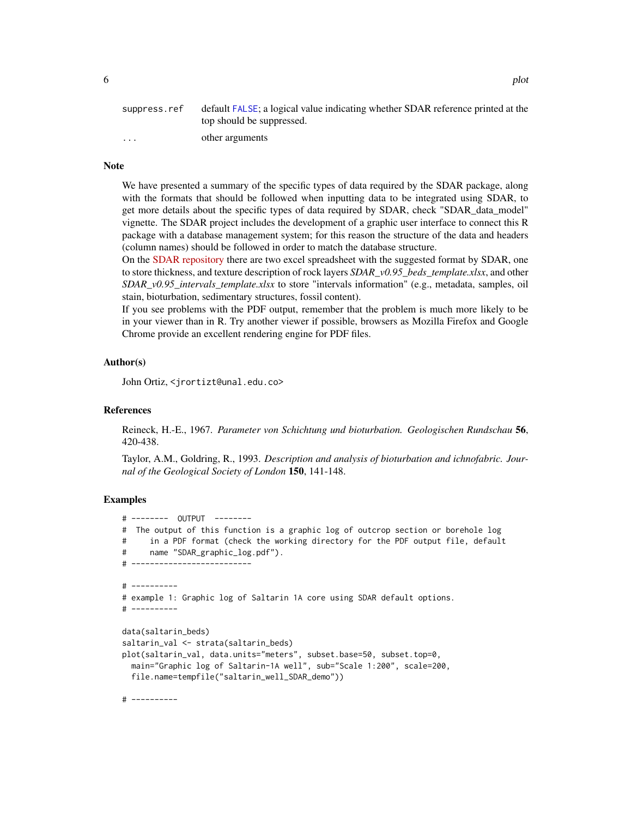<span id="page-5-0"></span>

| suppress.ref | default FALSE; a logical value indicating whether SDAR reference printed at the<br>top should be suppressed. |
|--------------|--------------------------------------------------------------------------------------------------------------|
| $\cdot$      | other arguments                                                                                              |

#### Note

We have presented a summary of the specific types of data required by the SDAR package, along with the formats that should be followed when inputting data to be integrated using SDAR, to get more details about the specific types of data required by SDAR, check "SDAR\_data\_model" vignette. The SDAR project includes the development of a graphic user interface to connect this R package with a database management system; for this reason the structure of the data and headers (column names) should be followed in order to match the database structure.

On the [SDAR repository](https://doi.org/10.25573/data.13118426.v2) there are two excel spreadsheet with the suggested format by SDAR, one to store thickness, and texture description of rock layers *SDAR\_v0.95\_beds\_template.xlsx*, and other *SDAR\_v0.95\_intervals\_template.xlsx* to store "intervals information" (e.g., metadata, samples, oil stain, bioturbation, sedimentary structures, fossil content).

If you see problems with the PDF output, remember that the problem is much more likely to be in your viewer than in R. Try another viewer if possible, browsers as Mozilla Firefox and Google Chrome provide an excellent rendering engine for PDF files.

#### Author(s)

John Ortiz, <jrortizt@unal.edu.co>

#### References

Reineck, H.-E., 1967. *Parameter von Schichtung und bioturbation. Geologischen Rundschau* 56, 420-438.

Taylor, A.M., Goldring, R., 1993. *Description and analysis of bioturbation and ichnofabric. Journal of the Geological Society of London* 150, 141-148.

#### Examples

```
# -------- OUTPUT --------
# The output of this function is a graphic log of outcrop section or borehole log
# in a PDF format (check the working directory for the PDF output file, default
# name "SDAR_graphic_log.pdf").
# --------------------------
# ----------
# example 1: Graphic log of Saltarin 1A core using SDAR default options.
# ----------
data(saltarin_beds)
saltarin_val <- strata(saltarin_beds)
plot(saltarin_val, data.units="meters", subset.base=50, subset.top=0,
 main="Graphic log of Saltarin-1A well", sub="Scale 1:200", scale=200,
 file.name=tempfile("saltarin_well_SDAR_demo"))
```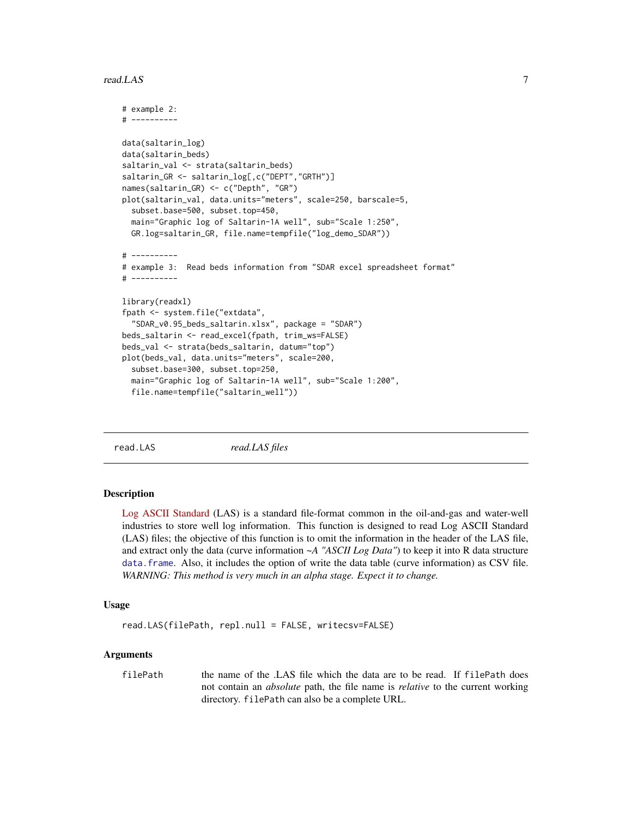#### <span id="page-6-0"></span>read.LAS 7

```
# example 2:
# ----------
data(saltarin_log)
data(saltarin_beds)
saltarin_val <- strata(saltarin_beds)
saltarin_GR <- saltarin_log[,c("DEPT","GRTH")]
names(saltarin_GR) <- c("Depth", "GR")
plot(saltarin_val, data.units="meters", scale=250, barscale=5,
 subset.base=500, subset.top=450,
 main="Graphic log of Saltarin-1A well", sub="Scale 1:250",
 GR.log=saltarin_GR, file.name=tempfile("log_demo_SDAR"))
# ----------
# example 3: Read beds information from "SDAR excel spreadsheet format"
# ----------
library(readxl)
fpath <- system.file("extdata",
  "SDAR_v0.95_beds_saltarin.xlsx", package = "SDAR")
beds_saltarin <- read_excel(fpath, trim_ws=FALSE)
beds_val <- strata(beds_saltarin, datum="top")
plot(beds_val, data.units="meters", scale=200,
 subset.base=300, subset.top=250,
 main="Graphic log of Saltarin-1A well", sub="Scale 1:200",
 file.name=tempfile("saltarin_well"))
```
<span id="page-6-1"></span>read.LAS *read.LAS files*

#### Description

[Log ASCII Standard](https://en.wikipedia.org/wiki/Log_ASCII_Standard) (LAS) is a standard file-format common in the oil-and-gas and water-well industries to store well log information. This function is designed to read Log ASCII Standard (LAS) files; the objective of this function is to omit the information in the header of the LAS file, and extract only the data (curve information *~A "ASCII Log Data"*) to keep it into R data structure [data.frame](#page-0-0). Also, it includes the option of write the data table (curve information) as CSV file. *WARNING: This method is very much in an alpha stage. Expect it to change.*

#### Usage

```
read.LAS(filePath, repl.null = FALSE, writecsv=FALSE)
```
#### Arguments

filePath the name of the .LAS file which the data are to be read. If filePath does not contain an *absolute* path, the file name is *relative* to the current working directory. filePath can also be a complete URL.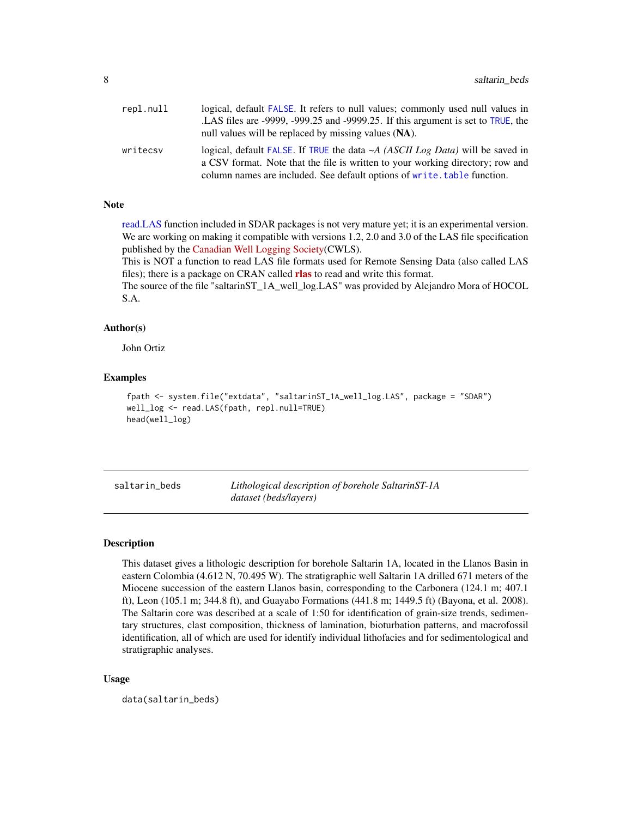<span id="page-7-0"></span>

| repl.null | logical, default FALSE. It refers to null values; commonly used null values in                                                                                        |
|-----------|-----------------------------------------------------------------------------------------------------------------------------------------------------------------------|
|           | LAS files are -9999, -999.25 and -9999.25. If this argument is set to TRUE, the                                                                                       |
|           | null values will be replaced by missing values (NA).                                                                                                                  |
| writecsy  | logical, default FALSE. If TRUE the data $\sim A$ (ASCII Log Data) will be saved in<br>a CSV format. Note that the file is written to your working directory; row and |
|           | column names are included. See default options of write, table function.                                                                                              |

#### **Note**

[read.LAS](#page-6-1) function included in SDAR packages is not very mature yet; it is an experimental version. We are working on making it compatible with versions 1.2, 2.0 and 3.0 of the LAS file specification published by the [Canadian Well Logging Society\(](https://www.cwls.org/products/#products-las)CWLS).

This is NOT a function to read LAS file formats used for Remote Sensing Data (also called LAS files); there is a package on CRAN called [rlas](https://CRAN.R-project.org/package=rlas) to read and write this format.

The source of the file "saltarinST\_1A\_well\_log.LAS" was provided by Alejandro Mora of HOCOL S.A.

#### Author(s)

John Ortiz

#### Examples

```
fpath <- system.file("extdata", "saltarinST_1A_well_log.LAS", package = "SDAR")
well_log <- read.LAS(fpath, repl.null=TRUE)
head(well_log)
```
saltarin\_beds *Lithological description of borehole SaltarinST-1A dataset (beds/layers)*

#### Description

This dataset gives a lithologic description for borehole Saltarin 1A, located in the Llanos Basin in eastern Colombia (4.612 N, 70.495 W). The stratigraphic well Saltarin 1A drilled 671 meters of the Miocene succession of the eastern Llanos basin, corresponding to the Carbonera (124.1 m; 407.1 ft), Leon (105.1 m; 344.8 ft), and Guayabo Formations (441.8 m; 1449.5 ft) (Bayona, et al. 2008). The Saltarin core was described at a scale of 1:50 for identification of grain-size trends, sedimentary structures, clast composition, thickness of lamination, bioturbation patterns, and macrofossil identification, all of which are used for identify individual lithofacies and for sedimentological and stratigraphic analyses.

#### Usage

data(saltarin\_beds)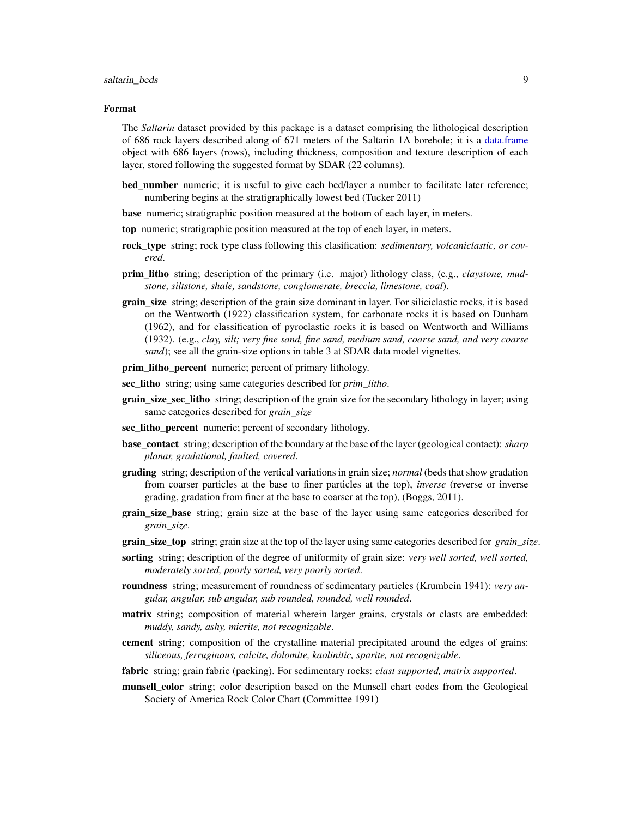#### <span id="page-8-0"></span>saltarin beds 9

#### Format

The *Saltarin* dataset provided by this package is a dataset comprising the lithological description of 686 rock layers described along of 671 meters of the Saltarin 1A borehole; it is a [data.frame](#page-0-0) object with 686 layers (rows), including thickness, composition and texture description of each layer, stored following the suggested format by SDAR (22 columns).

- bed number numeric; it is useful to give each bed/layer a number to facilitate later reference; numbering begins at the stratigraphically lowest bed (Tucker 2011)
- base numeric; stratigraphic position measured at the bottom of each layer, in meters.
- top numeric; stratigraphic position measured at the top of each layer, in meters.
- rock type string; rock type class following this clasification: *sedimentary, volcaniclastic, or covered*.
- prim\_litho string; description of the primary (i.e. major) lithology class, (e.g., *claystone, mudstone, siltstone, shale, sandstone, conglomerate, breccia, limestone, coal*).
- grain\_size string; description of the grain size dominant in layer. For siliciclastic rocks, it is based on the Wentworth (1922) classification system, for carbonate rocks it is based on Dunham (1962), and for classification of pyroclastic rocks it is based on Wentworth and Williams (1932). (e.g., *clay, silt; very fine sand, fine sand, medium sand, coarse sand, and very coarse sand*); see all the grain-size options in table 3 at SDAR data model vignettes.
- prim\_litho\_percent numeric; percent of primary lithology.
- sec\_litho string; using same categories described for *prim\_litho*.
- grain\_size\_sec\_litho string; description of the grain size for the secondary lithology in layer; using same categories described for *grain\_size*
- sec litho percent numeric; percent of secondary lithology.
- base\_contact string; description of the boundary at the base of the layer (geological contact): *sharp planar, gradational, faulted, covered*.
- grading string; description of the vertical variations in grain size; *normal* (beds that show gradation from coarser particles at the base to finer particles at the top), *inverse* (reverse or inverse grading, gradation from finer at the base to coarser at the top), (Boggs, 2011).
- grain\_size\_base string; grain size at the base of the layer using same categories described for *grain\_size*.
- grain\_size\_top string; grain size at the top of the layer using same categories described for *grain\_size*.
- sorting string; description of the degree of uniformity of grain size: *very well sorted, well sorted, moderately sorted, poorly sorted, very poorly sorted*.
- roundness string; measurement of roundness of sedimentary particles (Krumbein 1941): *very angular, angular, sub angular, sub rounded, rounded, well rounded*.
- matrix string; composition of material wherein larger grains, crystals or clasts are embedded: *muddy, sandy, ashy, micrite, not recognizable*.
- cement string; composition of the crystalline material precipitated around the edges of grains: *siliceous, ferruginous, calcite, dolomite, kaolinitic, sparite, not recognizable*.
- fabric string; grain fabric (packing). For sedimentary rocks: *clast supported, matrix supported*.
- munsell color string; color description based on the Munsell chart codes from the Geological Society of America Rock Color Chart (Committee 1991)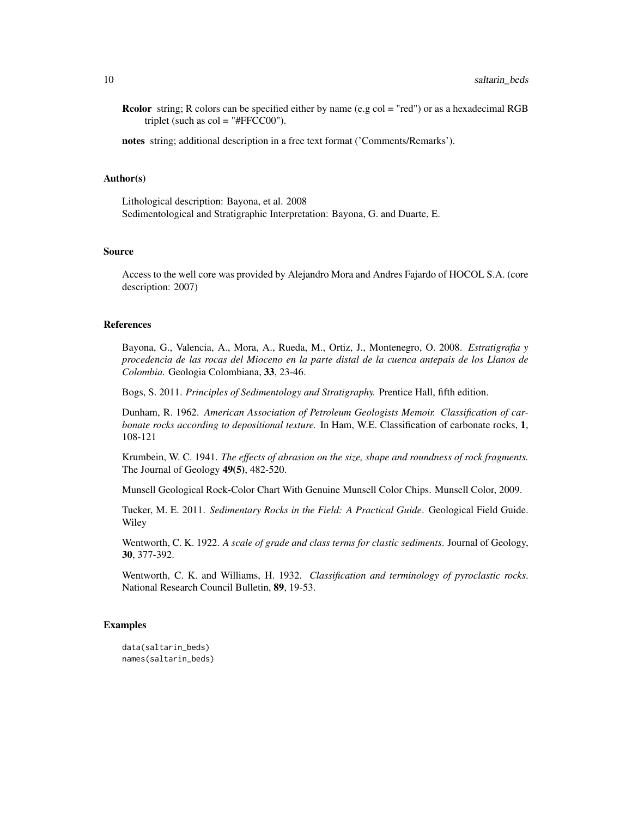Rcolor string; R colors can be specified either by name (e.g col = "red") or as a hexadecimal RGB triplet (such as  $col = "HFFCC00")$ .

notes string; additional description in a free text format ('Comments/Remarks').

#### Author(s)

Lithological description: Bayona, et al. 2008 Sedimentological and Stratigraphic Interpretation: Bayona, G. and Duarte, E.

#### Source

Access to the well core was provided by Alejandro Mora and Andres Fajardo of HOCOL S.A. (core description: 2007)

#### References

Bayona, G., Valencia, A., Mora, A., Rueda, M., Ortiz, J., Montenegro, O. 2008. *Estratigrafia y procedencia de las rocas del Mioceno en la parte distal de la cuenca antepais de los Llanos de Colombia.* Geologia Colombiana, 33, 23-46.

Bogs, S. 2011. *Principles of Sedimentology and Stratigraphy.* Prentice Hall, fifth edition.

Dunham, R. 1962. *American Association of Petroleum Geologists Memoir. Classification of carbonate rocks according to depositional texture.* In Ham, W.E. Classification of carbonate rocks, 1, 108-121

Krumbein, W. C. 1941. *The effects of abrasion on the size, shape and roundness of rock fragments.* The Journal of Geology 49(5), 482-520.

Munsell Geological Rock-Color Chart With Genuine Munsell Color Chips. Munsell Color, 2009.

Tucker, M. E. 2011. *Sedimentary Rocks in the Field: A Practical Guide*. Geological Field Guide. Wiley

Wentworth, C. K. 1922. *A scale of grade and class terms for clastic sediments*. Journal of Geology, 30, 377-392.

Wentworth, C. K. and Williams, H. 1932. *Classification and terminology of pyroclastic rocks*. National Research Council Bulletin, 89, 19-53.

#### Examples

data(saltarin\_beds) names(saltarin\_beds)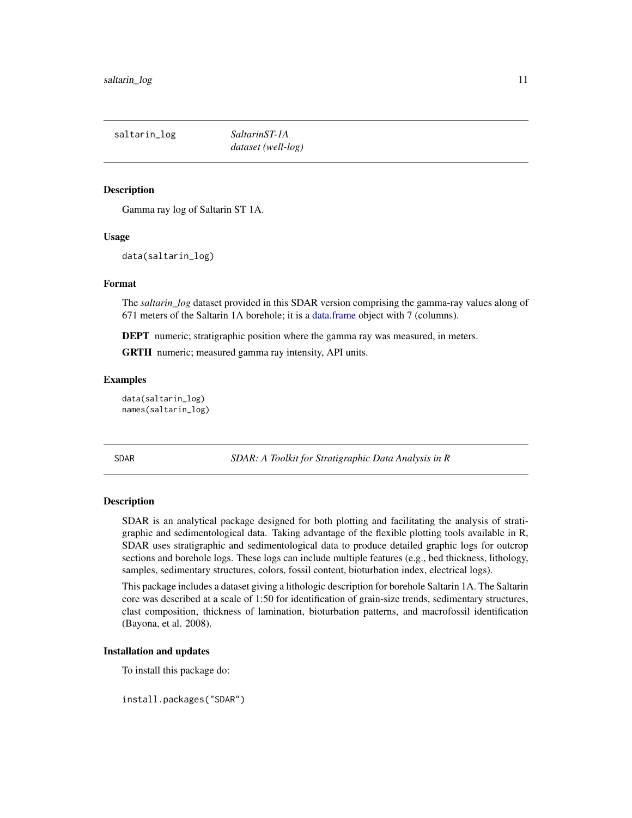<span id="page-10-0"></span>saltarin\_log *SaltarinST-1A*

*dataset (well-log)*

#### Description

Gamma ray log of Saltarin ST 1A.

#### Usage

data(saltarin\_log)

#### Format

The *saltarin\_log* dataset provided in this SDAR version comprising the gamma-ray values along of 671 meters of the Saltarin 1A borehole; it is a [data.frame](#page-0-0) object with 7 (columns).

DEPT numeric; stratigraphic position where the gamma ray was measured, in meters.

GRTH numeric; measured gamma ray intensity, API units.

#### Examples

data(saltarin\_log) names(saltarin\_log)

<span id="page-10-1"></span>SDAR *SDAR: A Toolkit for Stratigraphic Data Analysis in R*

#### Description

SDAR is an analytical package designed for both plotting and facilitating the analysis of stratigraphic and sedimentological data. Taking advantage of the flexible plotting tools available in R, SDAR uses stratigraphic and sedimentological data to produce detailed graphic logs for outcrop sections and borehole logs. These logs can include multiple features (e.g., bed thickness, lithology, samples, sedimentary structures, colors, fossil content, bioturbation index, electrical logs).

This package includes a dataset giving a lithologic description for borehole Saltarin 1A. The Saltarin core was described at a scale of 1:50 for identification of grain-size trends, sedimentary structures, clast composition, thickness of lamination, bioturbation patterns, and macrofossil identification (Bayona, et al. 2008).

#### Installation and updates

To install this package do:

install.packages("SDAR")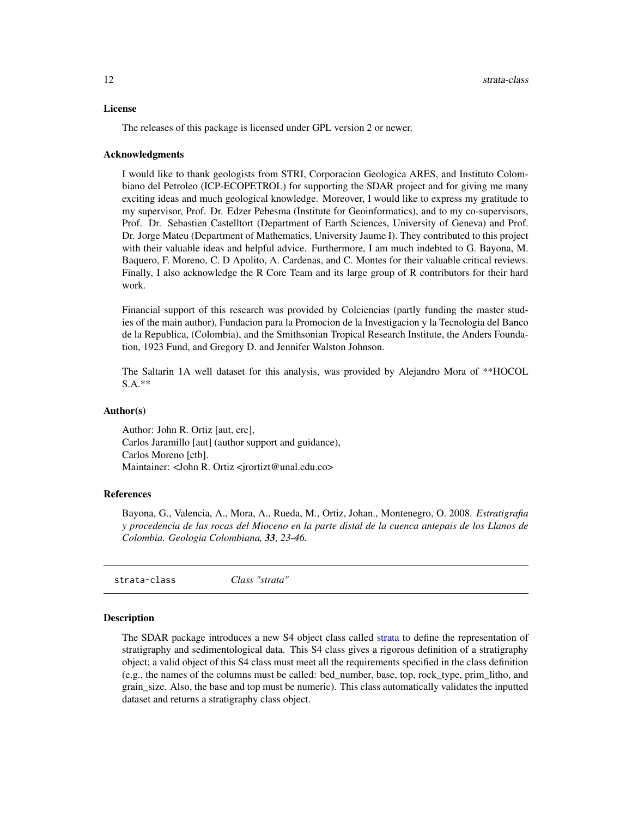#### <span id="page-11-0"></span>License

The releases of this package is licensed under GPL version 2 or newer.

#### Acknowledgments

I would like to thank geologists from STRI, Corporacion Geologica ARES, and Instituto Colombiano del Petroleo (ICP-ECOPETROL) for supporting the SDAR project and for giving me many exciting ideas and much geological knowledge. Moreover, I would like to express my gratitude to my supervisor, Prof. Dr. Edzer Pebesma (Institute for Geoinformatics), and to my co-supervisors, Prof. Dr. Sebastien Castelltort (Department of Earth Sciences, University of Geneva) and Prof. Dr. Jorge Mateu (Department of Mathematics, University Jaume I). They contributed to this project with their valuable ideas and helpful advice. Furthermore, I am much indebted to G. Bayona, M. Baquero, F. Moreno, C. D Apolito, A. Cardenas, and C. Montes for their valuable critical reviews. Finally, I also acknowledge the R Core Team and its large group of R contributors for their hard work.

Financial support of this research was provided by Colciencias (partly funding the master studies of the main author), Fundacion para la Promocion de la Investigacion y la Tecnologia del Banco de la Republica, (Colombia), and the Smithsonian Tropical Research Institute, the Anders Foundation, 1923 Fund, and Gregory D. and Jennifer Walston Johnson.

The Saltarin 1A well dataset for this analysis, was provided by Alejandro Mora of \*\*HOCOL S.A.\*\*

#### Author(s)

Author: John R. Ortiz [aut, cre], Carlos Jaramillo [aut] (author support and guidance), Carlos Moreno [ctb]. Maintainer: <John R. Ortiz <jrortizt@unal.edu.co>

#### References

Bayona, G., Valencia, A., Mora, A., Rueda, M., Ortiz, Johan., Montenegro, O. 2008. *Estratigrafia y procedencia de las rocas del Mioceno en la parte distal de la cuenca antepais de los Llanos de Colombia. Geologia Colombiana, 33, 23-46.*

strata-class *Class "strata"*

#### <span id="page-11-1"></span>Description

The SDAR package introduces a new S4 object class called [strata](#page-11-1) to define the representation of stratigraphy and sedimentological data. This S4 class gives a rigorous definition of a stratigraphy object; a valid object of this S4 class must meet all the requirements specified in the class definition (e.g., the names of the columns must be called: bed\_number, base, top, rock\_type, prim\_litho, and grain\_size. Also, the base and top must be numeric). This class automatically validates the inputted dataset and returns a stratigraphy class object.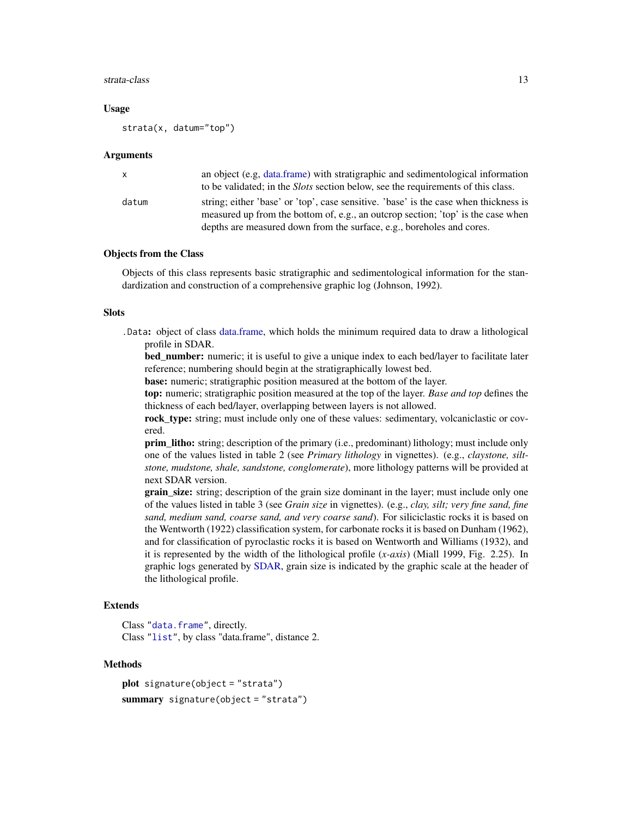#### <span id="page-12-0"></span>strata-class 13

#### Usage

strata(x, datum="top")

#### Arguments

| $\mathbf{x}$ | an object (e.g. data.frame) with stratigraphic and sedimentological information<br>to be validated; in the <i>Slots</i> section below, see the requirements of this class.                                                                        |
|--------------|---------------------------------------------------------------------------------------------------------------------------------------------------------------------------------------------------------------------------------------------------|
| datum        | string; either 'base' or 'top', case sensitive. 'base' is the case when thickness is<br>measured up from the bottom of, e.g., an outcrop section; 'top' is the case when<br>depths are measured down from the surface, e.g., boreholes and cores. |

#### Objects from the Class

Objects of this class represents basic stratigraphic and sedimentological information for the standardization and construction of a comprehensive graphic log (Johnson, 1992).

#### Slots

.Data: object of class [data.frame,](#page-0-0) which holds the minimum required data to draw a lithological profile in SDAR.

bed\_number: numeric; it is useful to give a unique index to each bed/layer to facilitate later reference; numbering should begin at the stratigraphically lowest bed.

base: numeric; stratigraphic position measured at the bottom of the layer.

top: numeric; stratigraphic position measured at the top of the layer. *Base and top* defines the thickness of each bed/layer, overlapping between layers is not allowed.

rock\_type: string; must include only one of these values: sedimentary, volcaniclastic or covered.

prim\_litho: string; description of the primary (i.e., predominant) lithology; must include only one of the values listed in table 2 (see *Primary lithology* in vignettes). (e.g., *claystone, siltstone, mudstone, shale, sandstone, conglomerate*), more lithology patterns will be provided at next SDAR version.

grain\_size: string; description of the grain size dominant in the layer; must include only one of the values listed in table 3 (see *Grain size* in vignettes). (e.g., *clay, silt; very fine sand, fine sand, medium sand, coarse sand, and very coarse sand*). For siliciclastic rocks it is based on the Wentworth (1922) classification system, for carbonate rocks it is based on Dunham (1962), and for classification of pyroclastic rocks it is based on Wentworth and Williams (1932), and it is represented by the width of the lithological profile (*x-axis*) (Miall 1999, Fig. 2.25). In graphic logs generated by [SDAR,](#page-10-1) grain size is indicated by the graphic scale at the header of the lithological profile.

#### Extends

Class ["data.frame"](#page-0-0), directly. Class ["list"](#page-0-0), by class "data.frame", distance 2.

#### Methods

```
plot signature(object = "strata")
summary signature(object = "strata")
```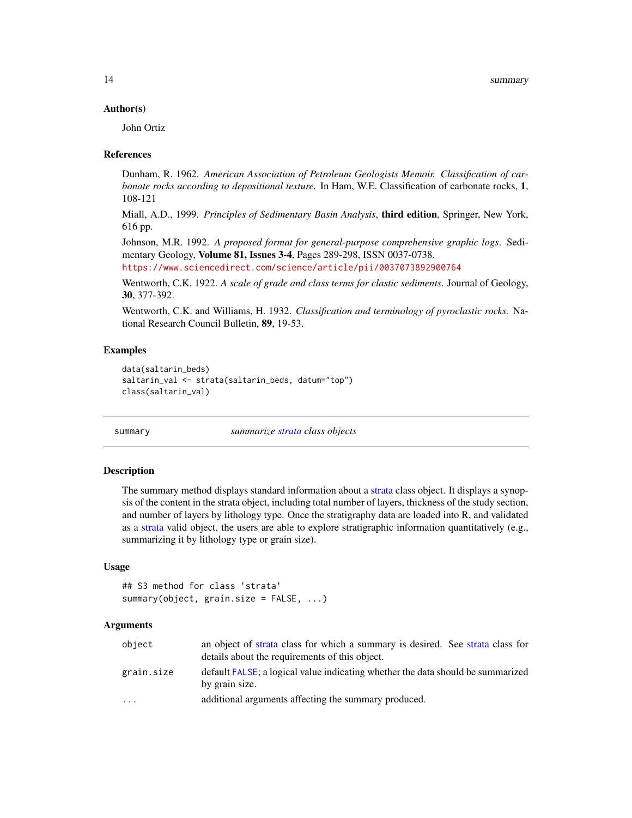#### <span id="page-13-0"></span>Author(s)

John Ortiz

#### References

Dunham, R. 1962. *American Association of Petroleum Geologists Memoir. Classification of carbonate rocks according to depositional texture.* In Ham, W.E. Classification of carbonate rocks, 1, 108-121

Miall, A.D., 1999. *Principles of Sedimentary Basin Analysis*, third edition, Springer, New York, 616 pp.

Johnson, M.R. 1992. *A proposed format for general-purpose comprehensive graphic logs*. Sedimentary Geology, **Volume 81, Issues 3-4**, Pages 289-298, ISSN 0037-0738.

<https://www.sciencedirect.com/science/article/pii/0037073892900764>

Wentworth, C.K. 1922. *A scale of grade and class terms for clastic sediments*. Journal of Geology, 30, 377-392.

Wentworth, C.K. and Williams, H. 1932. *Classification and terminology of pyroclastic rocks.* National Research Council Bulletin, 89, 19-53.

#### Examples

```
data(saltarin_beds)
saltarin_val <- strata(saltarin_beds, datum="top")
class(saltarin_val)
```
<span id="page-13-1"></span>summary *summarize [strata](#page-11-1) class objects*

#### Description

The summary method displays standard information about a [strata](#page-11-1) class object. It displays a synopsis of the content in the strata object, including total number of layers, thickness of the study section, and number of layers by lithology type. Once the stratigraphy data are loaded into R, and validated as a [strata](#page-11-1) valid object, the users are able to explore stratigraphic information quantitatively (e.g., summarizing it by lithology type or grain size).

#### Usage

```
## S3 method for class 'strata'
summary(object, grain.size = FALSE, ...)
```
#### Arguments

| object     | an object of strata class for which a summary is desired. See strata class for<br>details about the requirements of this object. |
|------------|----------------------------------------------------------------------------------------------------------------------------------|
| grain.size | default FALSE; a logical value indicating whether the data should be summarized<br>by grain size.                                |
| $\cdots$   | additional arguments affecting the summary produced.                                                                             |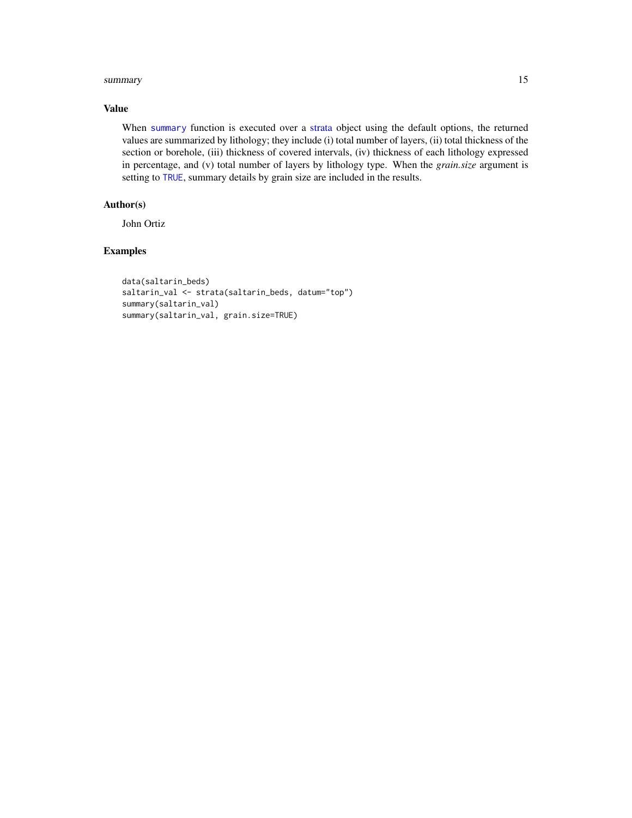#### <span id="page-14-0"></span>summary the contract of the contract of the contract of the contract of the contract of the contract of the contract of the contract of the contract of the contract of the contract of the contract of the contract of the co

#### Value

When [summary](#page-13-1) function is executed over a [strata](#page-11-1) object using the default options, the returned values are summarized by lithology; they include (i) total number of layers, (ii) total thickness of the section or borehole, (iii) thickness of covered intervals, (iv) thickness of each lithology expressed in percentage, and (v) total number of layers by lithology type. When the *grain.size* argument is setting to [TRUE](#page-0-0), summary details by grain size are included in the results.

#### Author(s)

John Ortiz

#### Examples

```
data(saltarin_beds)
saltarin_val <- strata(saltarin_beds, datum="top")
summary(saltarin_val)
summary(saltarin_val, grain.size=TRUE)
```